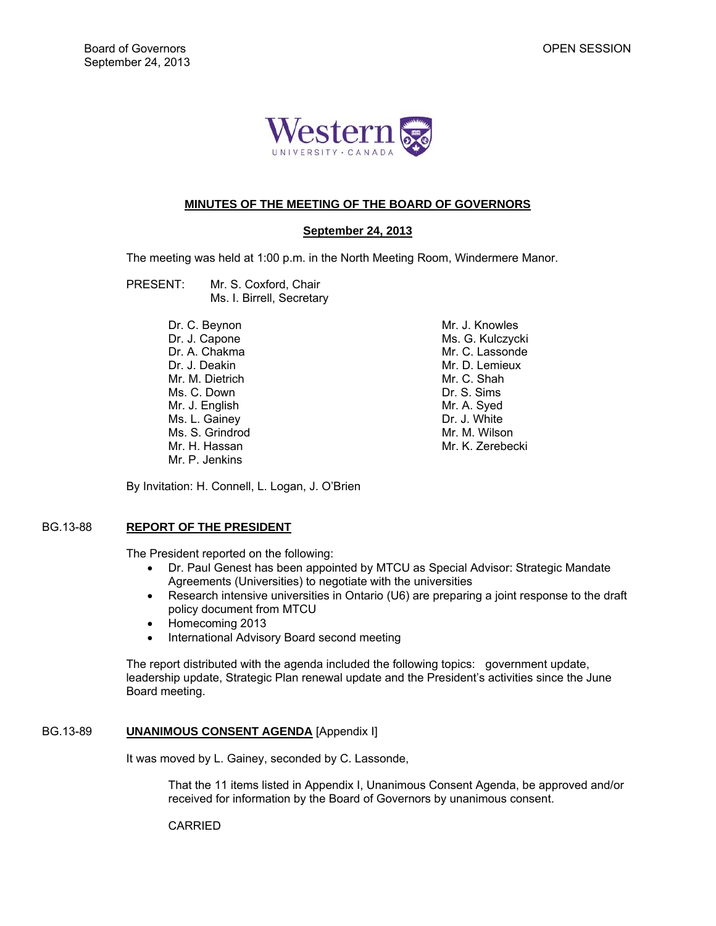

## **MINUTES OF THE MEETING OF THE BOARD OF GOVERNORS**

## **September 24, 2013**

The meeting was held at 1:00 p.m. in the North Meeting Room, Windermere Manor.

- PRESENT: Mr. S. Coxford, Chair Ms. I. Birrell, Secretary
	- Dr. C. Beynon Dr. J. Capone Dr. A. Chakma Dr. J. Deakin Mr. M. Dietrich Ms. C. Down Mr. J. English Ms. L. Gainey Ms. S. Grindrod Mr. H. Hassan Mr. P. Jenkins

 Mr. J. Knowles Ms. G. Kulczycki Mr. C. Lassonde Mr. D. Lemieux Mr. C. Shah Dr. S. Sims Mr. A. Syed Dr. J. White Mr. M. Wilson Mr. K. Zerebecki

By Invitation: H. Connell, L. Logan, J. O'Brien

# BG.13-88 **REPORT OF THE PRESIDENT**

The President reported on the following:

- Dr. Paul Genest has been appointed by MTCU as Special Advisor: Strategic Mandate Agreements (Universities) to negotiate with the universities
- Research intensive universities in Ontario (U6) are preparing a joint response to the draft policy document from MTCU
- Homecoming 2013
- International Advisory Board second meeting

The report distributed with the agenda included the following topics: government update, leadership update, Strategic Plan renewal update and the President's activities since the June Board meeting.

## BG.13-89 **UNANIMOUS CONSENT AGENDA** [Appendix I]

It was moved by L. Gainey, seconded by C. Lassonde,

 That the 11 items listed in Appendix I, Unanimous Consent Agenda, be approved and/or received for information by the Board of Governors by unanimous consent.

**CARRIED**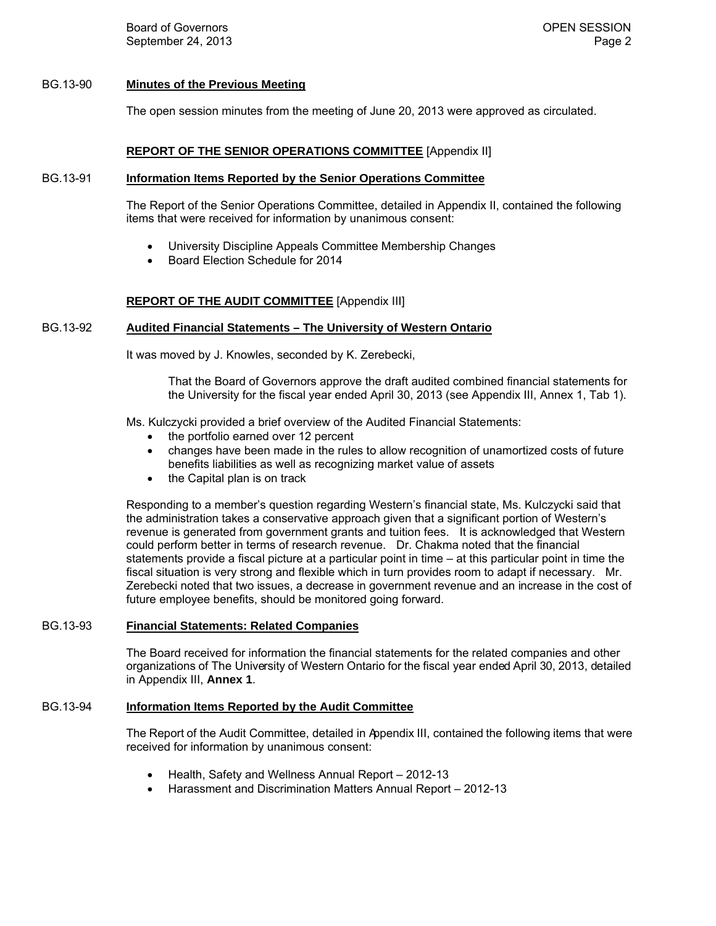Board of Governors **Community Community** Community Community Community Community Community Community Community Community Community Community Community Community Community Community Community Community Community Community C September 24, 2013 **Page 2** Page 2

## BG.13-90 **Minutes of the Previous Meeting**

The open session minutes from the meeting of June 20, 2013 were approved as circulated.

#### **REPORT OF THE SENIOR OPERATIONS COMMITTEE** [Appendix II]

#### BG.13-91 **Information Items Reported by the Senior Operations Committee**

The Report of the Senior Operations Committee, detailed in Appendix II, contained the following items that were received for information by unanimous consent:

- University Discipline Appeals Committee Membership Changes
- Board Election Schedule for 2014

#### **REPORT OF THE AUDIT COMMITTEE** [Appendix III]

#### BG.13-92 **Audited Financial Statements – The University of Western Ontario**

It was moved by J. Knowles, seconded by K. Zerebecki,

 That the Board of Governors approve the draft audited combined financial statements for the University for the fiscal year ended April 30, 2013 (see Appendix III, Annex 1, Tab 1).

Ms. Kulczycki provided a brief overview of the Audited Financial Statements:

- the portfolio earned over 12 percent
- changes have been made in the rules to allow recognition of unamortized costs of future benefits liabilities as well as recognizing market value of assets
- the Capital plan is on track

Responding to a member's question regarding Western's financial state, Ms. Kulczycki said that the administration takes a conservative approach given that a significant portion of Western's revenue is generated from government grants and tuition fees. It is acknowledged that Western could perform better in terms of research revenue. Dr. Chakma noted that the financial statements provide a fiscal picture at a particular point in time – at this particular point in time the fiscal situation is very strong and flexible which in turn provides room to adapt if necessary. Mr. Zerebecki noted that two issues, a decrease in government revenue and an increase in the cost of future employee benefits, should be monitored going forward.

#### BG.13-93 **Financial Statements: Related Companies**

The Board received for information the financial statements for the related companies and other organizations of The University of Western Ontario for the fiscal year ended April 30, 2013, detailed in Appendix III, **Annex 1**.

#### BG.13-94 **Information Items Reported by the Audit Committee**

The Report of the Audit Committee, detailed in Appendix III, contained the following items that were received for information by unanimous consent:

- Health, Safety and Wellness Annual Report 2012-13
- Harassment and Discrimination Matters Annual Report 2012-13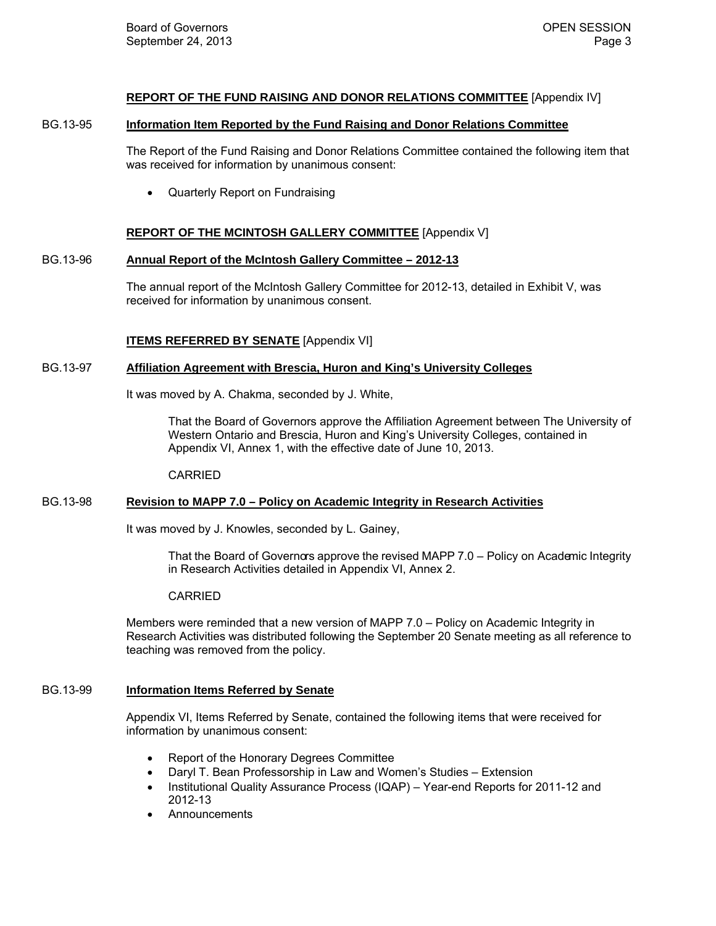## **REPORT OF THE FUND RAISING AND DONOR RELATIONS COMMITTEE** [Appendix IV]

#### BG.13-95 **Information Item Reported by the Fund Raising and Donor Relations Committee**

The Report of the Fund Raising and Donor Relations Committee contained the following item that was received for information by unanimous consent:

• Quarterly Report on Fundraising

## **REPORT OF THE MCINTOSH GALLERY COMMITTEE** [Appendix V]

## BG.13-96 **Annual Report of the McIntosh Gallery Committee – 2012-13**

The annual report of the McIntosh Gallery Committee for 2012-13, detailed in Exhibit V, was received for information by unanimous consent.

# **ITEMS REFERRED BY SENATE** [Appendix VI]

## BG.13-97 **Affiliation Agreement with Brescia, Huron and King's University Colleges**

It was moved by A. Chakma, seconded by J. White,

That the Board of Governors approve the Affiliation Agreement between The University of Western Ontario and Brescia, Huron and King's University Colleges, contained in Appendix VI, Annex 1, with the effective date of June 10, 2013.

CARRIED

## BG.13-98 **Revision to MAPP 7.0 – Policy on Academic Integrity in Research Activities**

It was moved by J. Knowles, seconded by L. Gainey,

That the Board of Governors approve the revised MAPP 7.0 – Policy on Academic Integrity in Research Activities detailed in Appendix VI, Annex 2.

## CARRIED

Members were reminded that a new version of MAPP 7.0 – Policy on Academic Integrity in Research Activities was distributed following the September 20 Senate meeting as all reference to teaching was removed from the policy.

# BG.13-99 **Information Items Referred by Senate**

Appendix VI, Items Referred by Senate, contained the following items that were received for information by unanimous consent:

- Report of the Honorary Degrees Committee
- Daryl T. Bean Professorship in Law and Women's Studies Extension
- Institutional Quality Assurance Process (IQAP) Year-end Reports for 2011-12 and 2012-13
- Announcements